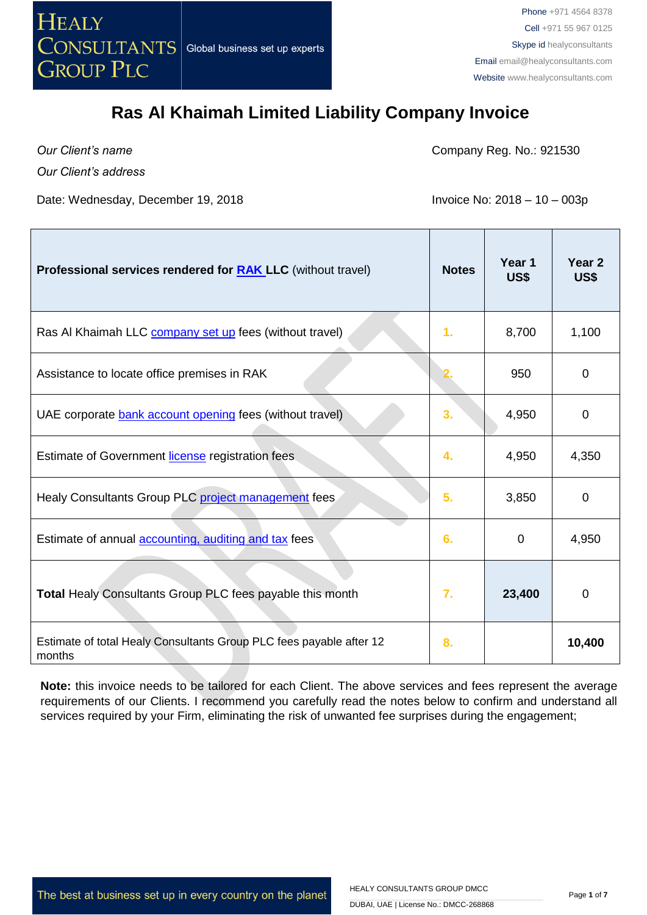

*Our Client's name*

Company Reg. No.: 921530

*Our Client's address*

Date: Wednesday, December 19, 2018 **Invoice No: 2018** - 10 - 003p

| Professional services rendered for <b>RAK</b> LLC (without travel)            | <b>Notes</b>     | Year 1<br>US\$ | Year <sub>2</sub><br>US\$ |
|-------------------------------------------------------------------------------|------------------|----------------|---------------------------|
| Ras AI Khaimah LLC <b>company set up</b> fees (without travel)                | 1.               | 8,700          | 1,100                     |
| Assistance to locate office premises in RAK                                   |                  | 950            | 0                         |
| UAE corporate bank account opening fees (without travel)                      | 3.               | 4,950          | $\mathbf 0$               |
| Estimate of Government license registration fees                              | 4.               | 4,950          | 4,350                     |
| Healy Consultants Group PLC project management fees                           | 5.               | 3,850          | $\Omega$                  |
| Estimate of annual <b>accounting</b> , auditing and tax fees                  | 6.               | 0              | 4,950                     |
| Total Healy Consultants Group PLC fees payable this month                     | $\overline{7}$ . | 23,400         | 0                         |
| Estimate of total Healy Consultants Group PLC fees payable after 12<br>months | 8.               |                | 10,400                    |

**Note:** this invoice needs to be tailored for each Client. The above services and fees represent the average requirements of our Clients. I recommend you carefully read the notes below to confirm and understand all services required by your Firm, eliminating the risk of unwanted fee surprises during the engagement;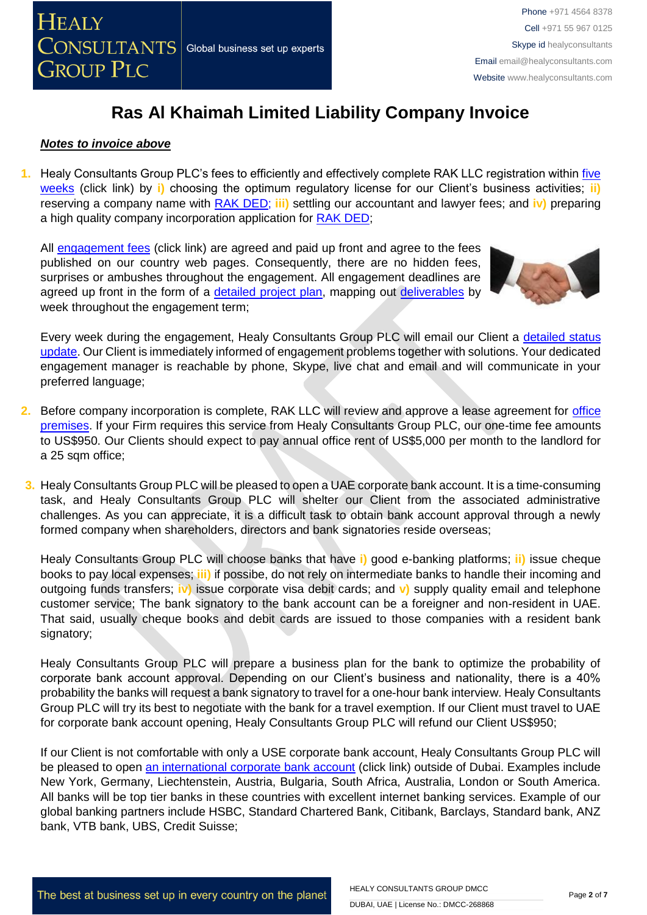

#### *Notes to invoice above*

**1.** Healy Consultants Group PLC's fees to efficiently and effectively complete RAK LLC registration within [five](http://www.healyconsultants.com/ras-al-khaimah-free-zone/fees-timelines/#timelines)  [weeks](http://www.healyconsultants.com/ras-al-khaimah-free-zone/fees-timelines/#timelines) (click link) by **i)** choosing the optimum regulatory license for our Client's business activities; **ii)** reserving a company name with [RAK DED;](http://www.ded.rak.ae/en/Pages/default.aspx) **iii)** settling our accountant and lawyer fees; and **iv)** preparing a high quality company incorporation application for [RAK DED;](http://www.ded.rak.ae/en/Pages/default.aspx)

All [engagement fees](http://www.healyconsultants.com/company-registration-fees/) (click link) are agreed and paid up front and agree to the fees published on our country web pages. Consequently, there are no hidden fees, surprises or ambushes throughout the engagement. All engagement deadlines are agreed up front in the form of a [detailed project](http://www.healyconsultants.com/index-important-links/example-project-plan/) plan, mapping out [deliverables](http://www.healyconsultants.com/deliverables-to-our-clients/) by week throughout the engagement term;



Every week during the engagement, Healy Consultants Group PLC will email our Client a detailed status [update.](http://www.healyconsultants.com/index-important-links/weekly-engagement-status-email/) Our Client is immediately informed of engagement problems together with solutions. Your dedicated engagement manager is reachable by phone, Skype, live chat and email and will communicate in your preferred language;

- **2.** Before company incorporation is complete, RAK LLC will review and approve a lease agreement for [office](http://www.rakia.ae/Company-Formation/Facilities)  [premises.](http://www.rakia.ae/Company-Formation/Facilities) If your Firm requires this service from Healy Consultants Group PLC, our one-time fee amounts to US\$950. Our Clients should expect to pay annual office rent of US\$5,000 per month to the landlord for a 25 sqm office;
- **3.** Healy Consultants Group PLC will be pleased to open a UAE corporate bank account. It is a time-consuming task, and Healy Consultants Group PLC will shelter our Client from the associated administrative challenges. As you can appreciate, it is a difficult task to obtain bank account approval through a newly formed company when shareholders, directors and bank signatories reside overseas;

Healy Consultants Group PLC will choose banks that have **i)** good e-banking platforms; **ii)** issue cheque books to pay local expenses; **iii)** if possibe, do not rely on intermediate banks to handle their incoming and outgoing funds transfers; **iv)** issue corporate visa debit cards; and **v)** supply quality email and telephone customer service; The bank signatory to the bank account can be a foreigner and non-resident in UAE. That said, usually cheque books and debit cards are issued to those companies with a resident bank signatory;

Healy Consultants Group PLC will prepare a business plan for the bank to optimize the probability of corporate bank account approval. Depending on our Client's business and nationality, there is a 40% probability the banks will request a bank signatory to travel for a one-hour bank interview. Healy Consultants Group PLC will try its best to negotiate with the bank for a travel exemption. If our Client must travel to UAE for corporate bank account opening, Healy Consultants Group PLC will refund our Client US\$950;

If our Client is not comfortable with only a USE corporate bank account, Healy Consultants Group PLC will be pleased to open an [international corporate bank account](http://www.healyconsultants.com/international-banking/) (click link) outside of Dubai. Examples include New York, Germany, Liechtenstein, Austria, Bulgaria, South Africa, Australia, London or South America. All banks will be top tier banks in these countries with excellent internet banking services. Example of our global banking partners include HSBC, Standard Chartered Bank, Citibank, Barclays, Standard bank, ANZ bank, VTB bank, UBS, Credit Suisse;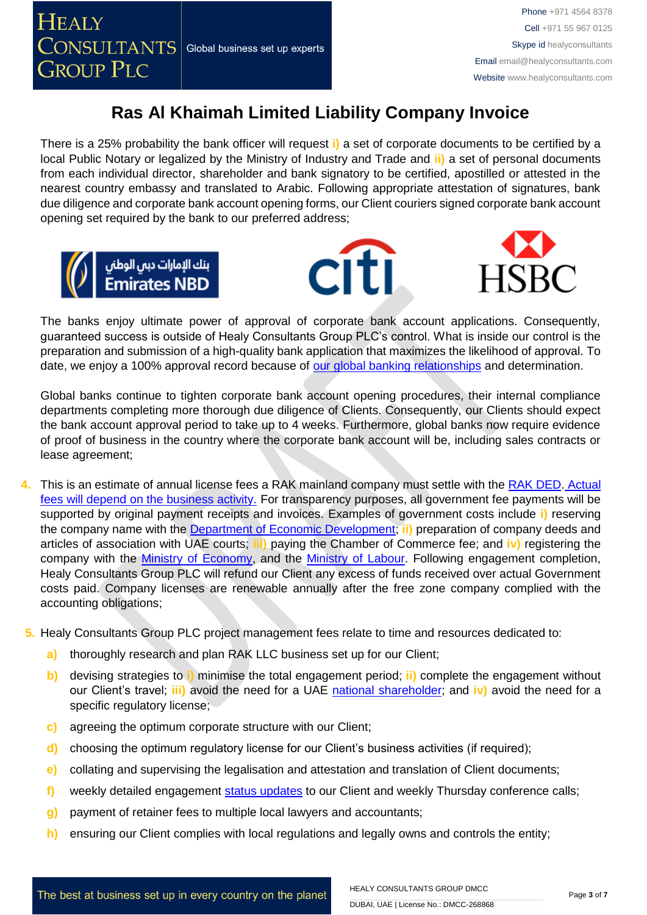There is a 25% probability the bank officer will request **i)** a set of corporate documents to be certified by a local Public Notary or legalized by the Ministry of Industry and Trade and **ii)** a set of personal documents from each individual director, shareholder and bank signatory to be certified, apostilled or attested in the nearest country embassy and translated to Arabic. Following appropriate attestation of signatures, bank due diligence and corporate bank account opening forms, our Client couriers signed corporate bank account opening set required by the bank to our preferred address;







The banks enjoy ultimate power of approval of corporate bank account applications. Consequently, guaranteed success is outside of Healy Consultants Group PLC's control. What is inside our control is the preparation and submission of a high-quality bank application that maximizes the likelihood of approval. To date, we enjoy a 100% approval record because of [our global banking relationships](http://www.healyconsultants.com/international-banking/corporate-accounts/) and determination.

Global banks continue to tighten corporate bank account opening procedures, their internal compliance departments completing more thorough due diligence of Clients. Consequently, our Clients should expect the bank account approval period to take up to 4 weeks. Furthermore, global banks now require evidence of proof of business in the country where the corporate bank account will be, including sales contracts or lease agreement;

- **4.** This is an estimate of annual license fees a RAK mainland company must settle with the [RAK DED.](http://www.ded.rak.ae/en/Pages/default.aspx) [Actual](http://ded.rak.ae/en/pages/%D8%A7%D9%84%D8%AA%D8%B1%D8%A7%D8%AE%D9%8A%D8%B5-%D8%A7%D9%84%D8%AA%D8%AC%D8%A7%D8%B1%D9%8A%D8%A9-%D8%A7%D9%86%D8%AC%D9%84%D9%8A%D8%B2%D9%8A-.aspx)  [fees will depend on the business activity.](http://ded.rak.ae/en/pages/%D8%A7%D9%84%D8%AA%D8%B1%D8%A7%D8%AE%D9%8A%D8%B5-%D8%A7%D9%84%D8%AA%D8%AC%D8%A7%D8%B1%D9%8A%D8%A9-%D8%A7%D9%86%D8%AC%D9%84%D9%8A%D8%B2%D9%8A-.aspx) For transparency purposes, all government fee payments will be supported by original payment receipts and invoices. Examples of government costs include **i)** reserving the company name with the [Department of Economic Development;](http://www.ded.rak.ae/en/Pages/default.aspx) **ii)** preparation of company deeds and articles of association with UAE courts; **iii)** paying the Chamber of Commerce fee; and **iv)** registering the company with the [Ministry of Economy,](https://www.rak.ae/wps/portal/rak/home/edirectory/federal-entities/ministry-of-economy/!ut/p/z1/vVLBUsIwFPyVXjh2XlLSNjm2ijAoOMq00Fw6oQ0YpS2EDFq_3sCtjoBezC15-_a93SxwWACvxUGthVFNLTb2nvEgJxh7HiN4giZPBEUxnZL-Q4ppgGHeBVBEGYrGM5ymNzEeUQL8N_3ozInQtf4UOPCiNlvzApkWb7lci7xoaiNrs1FLLXSbC91DtuTIUmlZmEa3PbSSpdRi41iYMkrue6hStdob3TrNypGWoanaHx-PA7eFKiHDZYFWlPkuYyFziedjl_kldWVJvCUNln3Jiu8GdRUMB1cNmgltOXgX1rU5uQsuA07_cAJcMvrSJqdFu4DhYxjbESH1b7EluEeQWanhWS0sgPlByXdI6kZXNluzPzo5QjC-5pbNq3rd7XhkQ3EMwYeBxf-kYlslSUX7rTsePI8-46k7nEdfFDOo9w!!/dz/d5/L0lHSkovd0RNQUprQUVnQSEhLzROVkUvZW4!/) and the [Ministry of Labour.](https://www.rak.ae/wps/portal/rak/home/edirectory/federal-entities/ministry-of-labour/!ut/p/z1/vZJLc4IwFIX_ChuXTC4SISyhWh1b7bQOKNkwAaJNhaAxffDvG93RqY9uml2S7-aee3IQRStEJfsQG6ZFI1ll9in1Muw4_X6AnRnMnjGEEZlj9zFxyMxDyy5AgAQQThdOktxFzoRgRG-phzMrhGv1CaKIFlLv9CtKFdtmfMOyopGaS12JXDHVZkz1wFxZvBSKF7pRbQ_WvOSKVZbBhBb80INaSHHQqrWatVWxvHlXv50d2-0KUaIUuFd4PiM2BC62cVEEdlBibudBOSCYQA4u-WlPV_94dIM9tIt0DY7vvcvA6QdOwCWLL6k4iewC4yc_Mi18Mhg65oEHQAumUGpG9c_OMuqj5YfgnyiWjapNshZ_dHICaHrNLZNW8bbf09BE4hiBL41W_5GJXR3HNXFbe_syWg-juT1eht_bXh46/dz/d5/L0lHSkovd0RNQUZrQUVnQSEhLzROVkUvZW4!/) Following engagement completion, Healy Consultants Group PLC will refund our Client any excess of funds received over actual Government costs paid. Company licenses are renewable annually after the free zone company complied with the accounting obligations;
- **5.** Healy Consultants Group PLC project management fees relate to time and resources dedicated to:
	- **a)** thoroughly research and plan RAK LLC business set up for our Client;
	- **b)** devising strategies to **i)** minimise the total engagement period; **ii)** complete the engagement without our Client's travel; **iii)** avoid the need for a UAE national [shareholder;](http://www.healyconsultants.com/corporate-advisory-services/nominee-shareholders-directors/national-shareholder-services/) and **iv)** avoid the need for a specific regulatory license;
	- **c)** agreeing the optimum corporate structure with our Client;
	- **d)** choosing the optimum regulatory license for our Client's business activities (if required);
	- **e)** collating and supervising the legalisation and attestation and translation of Client documents;
	- f) weekly detailed engagement [status updates](http://www.healyconsultants.com/index-important-links/weekly-engagement-status-email/) to our Client and weekly Thursday conference calls;
	- **g)** payment of retainer fees to multiple local lawyers and accountants;
	- **h)** ensuring our Client complies with local regulations and legally owns and controls the entity;

The best at business set up in every country on the planet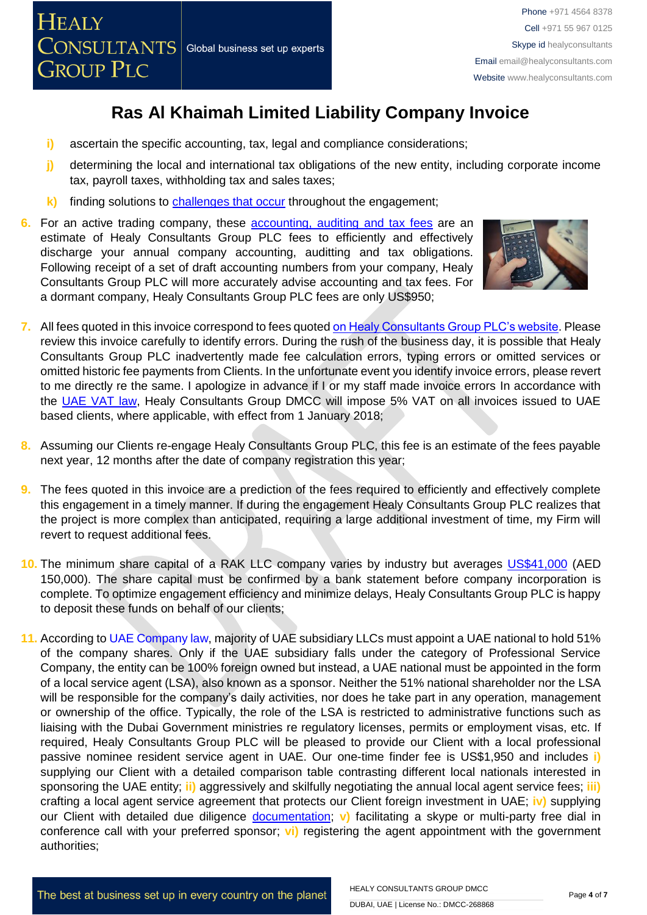

- **i)** ascertain the specific accounting, tax, legal and compliance considerations;
- **j)** determining the local and international tax obligations of the new entity, including corporate income tax, payroll taxes, withholding tax and sales taxes;
- **k)** finding solutions to [challenges that occur](http://www.healyconsultants.com/engagement-project-management/) throughout the engagement;
- **6.** For an active trading company, these [accounting, auditing and tax](http://www.healyconsultants.com/uae-company-registration/accounting-legal/) fees are an estimate of Healy Consultants Group PLC fees to efficiently and effectively discharge your annual company accounting, auditting and tax obligations. Following receipt of a set of draft accounting numbers from your company, Healy Consultants Group PLC will more accurately advise accounting and tax fees. For a dormant company, Healy Consultants Group PLC fees are only US\$950;



- **7.** All fees quoted in this invoice correspond to fees quote[d on Healy Consultants Group PLC's website.](http://www.healyconsultants.com/company-registration-fees/) Please review this invoice carefully to identify errors. During the rush of the business day, it is possible that Healy Consultants Group PLC inadvertently made fee calculation errors, typing errors or omitted services or omitted historic fee payments from Clients. In the unfortunate event you identify invoice errors, please revert to me directly re the same. I apologize in advance if I or my staff made invoice errors In accordance with the [UAE VAT law,](https://www.tax.gov.ae/legislation.aspx) Healy Consultants Group DMCC will impose 5% VAT on all invoices issued to UAE based clients, where applicable, with effect from 1 January 2018;
- **8.** Assuming our Clients re-engage Healy Consultants Group PLC, this fee is an estimate of the fees payable next year, 12 months after the date of company registration this year;
- **9.** The fees quoted in this invoice are a prediction of the fees required to efficiently and effectively complete this engagement in a timely manner. If during the engagement Healy Consultants Group PLC realizes that the project is more complex than anticipated, requiring a large additional investment of time, my Firm will revert to request additional fees.
- **10.** The minimum share capital of a RAK LLC company varies by industry but averages [US\\$41,000](http://ded.rak.ae/ar/pages/faq.aspx#Answer30) (AED 150,000). The share capital must be confirmed by a bank statement before company incorporation is complete. To optimize engagement efficiency and minimize delays, Healy Consultants Group PLC is happy to deposit these funds on behalf of our clients;
- **11.** According to UAE [Company](http://ejustice.gov.ae/downloads/latest_laws2015/federal_law_2_2015_commercial_companies_en.pdf) law, majority of UAE subsidiary LLCs must appoint a UAE national to hold 51% of the company shares. Only if the UAE subsidiary falls under the category of Professional Service Company, the entity can be 100% foreign owned but instead, a UAE national must be appointed in the form of a local service agent (LSA), also known as a sponsor. Neither the 51% national shareholder nor the LSA will be responsible for the company's daily activities, nor does he take part in any operation, management or ownership of the office. Typically, the role of the LSA is restricted to administrative functions such as liaising with the Dubai Government ministries re regulatory licenses, permits or employment visas, etc. If required, Healy Consultants Group PLC will be pleased to provide our Client with a local professional passive nominee resident service agent in UAE. Our one-time finder fee is US\$1,950 and includes **i)** supplying our Client with a detailed comparison table contrasting different local nationals interested in sponsoring the UAE entity; **ii)** aggressively and skilfully negotiating the annual local agent service fees; **iii)** crafting a local agent service agreement that protects our Client foreign investment in UAE; **iv)** supplying our Client with detailed due diligence [documentation;](https://www.healyconsultants.com/company-formation/due-diligence/) **v)** facilitating a skype or multi-party free dial in conference call with your preferred sponsor; **vi)** registering the agent appointment with the government authorities;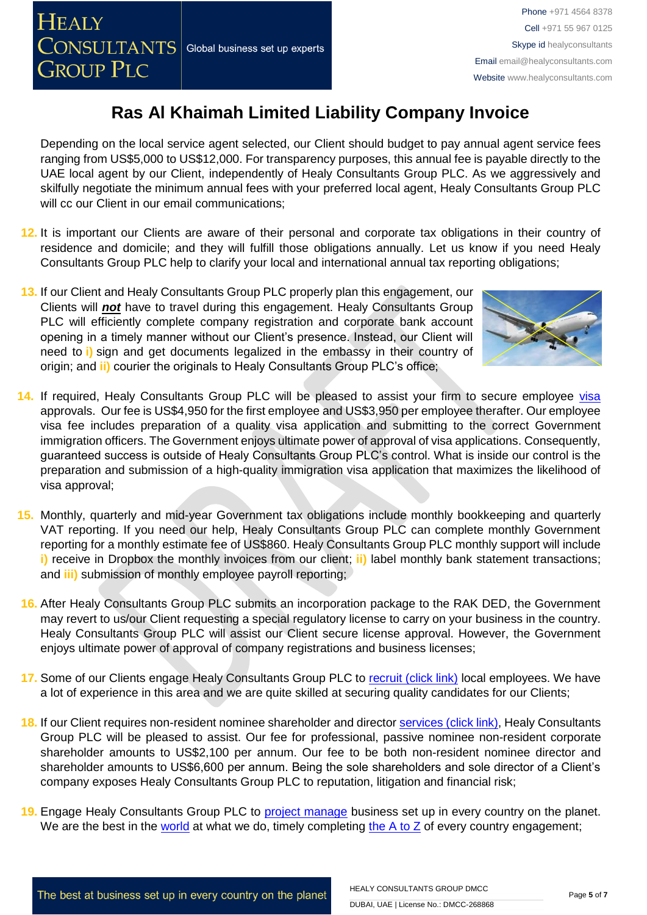Depending on the local service agent selected, our Client should budget to pay annual agent service fees ranging from US\$5,000 to US\$12,000. For transparency purposes, this annual fee is payable directly to the UAE local agent by our Client, independently of Healy Consultants Group PLC. As we aggressively and skilfully negotiate the minimum annual fees with your preferred local agent, Healy Consultants Group PLC will cc our Client in our email communications;

- **12.** It is important our Clients are aware of their personal and corporate tax obligations in their country of residence and domicile; and they will fulfill those obligations annually. Let us know if you need Healy Consultants Group PLC help to clarify your local and international annual tax reporting obligations;
- **13.** If our Client and Healy Consultants Group PLC properly plan this engagement, our Clients will *not* have to travel during this engagement. Healy Consultants Group PLC will efficiently complete company registration and corporate bank account opening in a timely manner without our Client's presence. Instead, our Client will need to **i)** sign and get documents legalized in the embassy in their country of origin; and **ii)** courier the originals to Healy Consultants Group PLC's office;



- **14.** If required, Healy Consultants Group PLC will be pleased to assist your firm to secure employee [visa](http://www.healyconsultants.com/dubai-company-registration/employment-visas/)  approvals. Our fee is US\$4,950 for the first employee and US\$3,950 per employee therafter. Our employee visa fee includes preparation of a quality visa application and submitting to the correct Government immigration officers. The Government enjoys ultimate power of approval of visa applications. Consequently, guaranteed success is outside of Healy Consultants Group PLC's control. What is inside our control is the preparation and submission of a high-quality immigration visa application that maximizes the likelihood of visa approval;
- **15.** Monthly, quarterly and mid-year Government tax obligations include monthly bookkeeping and quarterly VAT reporting. If you need our help, Healy Consultants Group PLC can complete monthly Government reporting for a monthly estimate fee of US\$860. Healy Consultants Group PLC monthly support will include **i)** receive in Dropbox the monthly invoices from our client; ii) label monthly bank statement transactions; and **iii)** submission of monthly employee payroll reporting;
- **16.** After Healy Consultants Group PLC submits an incorporation package to the RAK DED, the Government may revert to us/our Client requesting a special regulatory license to carry on your business in the country. Healy Consultants Group PLC will assist our Client secure license approval. However, the Government enjoys ultimate power of approval of company registrations and business licenses;
- **17.** Some of our Clients engage Healy Consultants Group PLC to [recruit \(click link\)](http://www.healyconsultants.com/corporate-outsourcing-services/how-we-help-our-clients-recruit-quality-employees/) local employees. We have a lot of experience in this area and we are quite skilled at securing quality candidates for our Clients;
- **18.** If our Client requires non-resident nominee shareholder and director [services \(click link\),](http://www.healyconsultants.com/corporate-outsourcing-services/nominee-shareholders-directors/) Healy Consultants Group PLC will be pleased to assist. Our fee for professional, passive nominee non-resident corporate shareholder amounts to US\$2,100 per annum. Our fee to be both non-resident nominee director and shareholder amounts to US\$6,600 per annum. Being the sole shareholders and sole director of a Client's company exposes Healy Consultants Group PLC to reputation, litigation and financial risk;
- **19.** Engage Healy Consultants Group PLC to [project manage](http://www.healyconsultants.com/project-manage-engagements/) business set up in every country on the planet. We are the best in the [world](http://www.healyconsultants.com/best-in-the-world/) at what we do, timely completing the  $A$  to  $Z$  of every country engagement;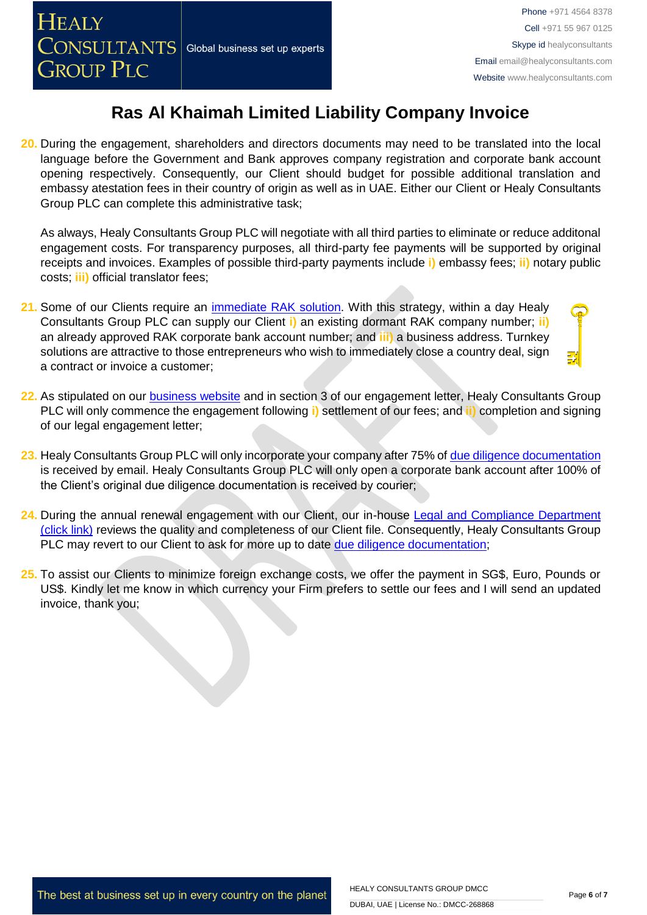**20.** During the engagement, shareholders and directors documents may need to be translated into the local language before the Government and Bank approves company registration and corporate bank account opening respectively. Consequently, our Client should budget for possible additional translation and embassy atestation fees in their country of origin as well as in UAE. Either our Client or Healy Consultants Group PLC can complete this administrative task;

As always, Healy Consultants Group PLC will negotiate with all third parties to eliminate or reduce additonal engagement costs. For transparency purposes, all third-party fee payments will be supported by original receipts and invoices. Examples of possible third-party payments include **i)** embassy fees; **ii)** notary public costs; **iii)** official translator fees;

- **21.** Some of our Clients require an [immediate RAK](http://www.healyconsultants.com/turnkey-solutions/) solution. With this strategy, within a day Healy Consultants Group PLC can supply our Client **i)** an existing dormant RAK company number; **ii)** an already approved RAK corporate bank account number; and **iii)** a business address. Turnkey solutions are attractive to those entrepreneurs who wish to immediately close a country deal, sign a contract or invoice a customer;
- **22.** As stipulated on our [business website](http://www.healyconsultants.com/) and in section 3 of our engagement letter, Healy Consultants Group PLC will only commence the engagement following **i)** settlement of our fees; and **ii)** completion and signing of our legal engagement letter;
- **23.** Healy Consultants Group PLC will only incorporate your company after 75% of [due diligence documentation](http://www.healyconsultants.com/due-diligence/) is received by email. Healy Consultants Group PLC will only open a corporate bank account after 100% of the Client's original due diligence documentation is received by courier;
- **24.** During the annual renewal engagement with our Client, our in-house [Legal and Compliance Department](http://www.healyconsultants.com/about-us/key-personnel/cai-xin-profile/)  [\(click link\)](http://www.healyconsultants.com/about-us/key-personnel/cai-xin-profile/) reviews the quality and completeness of our Client file. Consequently, Healy Consultants Group PLC may revert to our Client to ask for more up to date [due diligence documentation;](http://www.healyconsultants.com/due-diligence/)
- **25.** To assist our Clients to minimize foreign exchange costs, we offer the payment in SG\$, Euro, Pounds or US\$. Kindly let me know in which currency your Firm prefers to settle our fees and I will send an updated invoice, thank you;

The best at business set up in every country on the planet